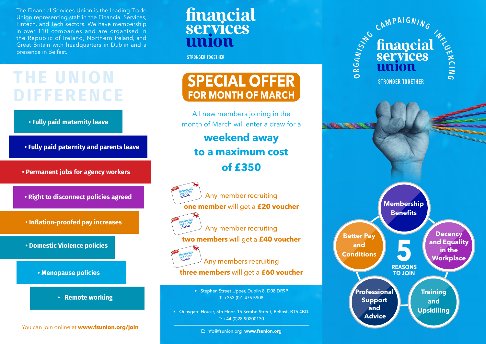The Financial Services Union is the leading Trade Union representing staff in the Financial Services, Fintech, and Tech sectors. We have membership in over 110 companies and are organised in the Republic of Ireland, Northern Ireland, and Great Britain with headquarters in Dublin and a presence in Belfast.

## financial services nnion

**STRONGER TOGETHER** 

# **THE UNION DIFFERENCE**



- **Fully paid paternity and parents leave**
- **Permanent jobs for agency workers**
- **Right to disconnect policies agreed**
- **Inflation-proofed pay increases**

**• Domestic Violence policies**



**• Remote working**

You can join online at **www.fsunion.org/join**

## **SPECIAL OFFER FOR MONTH OF MARCH**

All new members joining in the month of March will enter a draw for a

### **weekend away to a maximum cost of £350**



Any member recruiting **one member** will get a **£20 voucher**



Any member recruiting

**two members** will get a **£40 voucher**



Any members recruiting **three members** will get a **£60 voucher**

> • Stephen Street Upper, Dublin 8, D08 DR9P T: +353 (0)1 475 5908

• Quaygate House, 5th Floor, 15 Scrabo Street, Belfast, BT5 4BD. T: +44 (0)28 90200130

E: info@fsunion.org www.fsunion.org